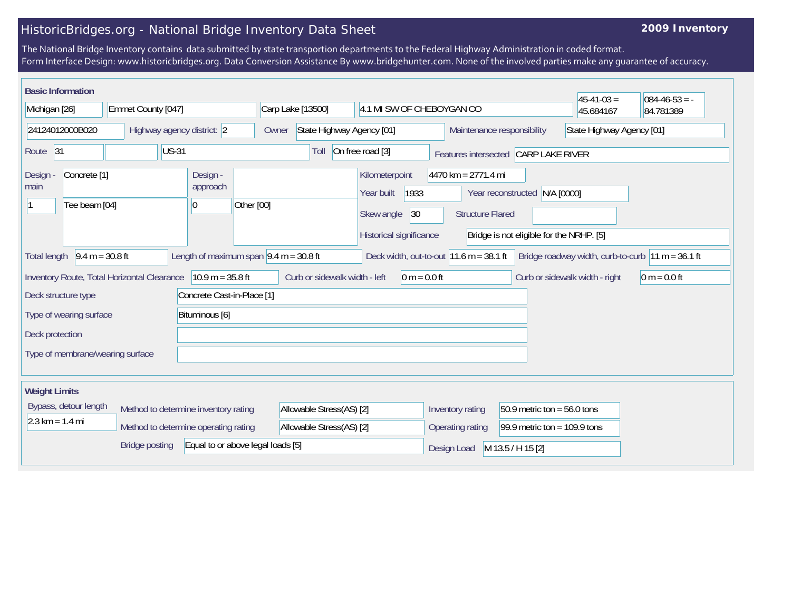## HistoricBridges.org - National Bridge Inventory Data Sheet

## **2009 Inventory**

The National Bridge Inventory contains data submitted by state transportion departments to the Federal Highway Administration in coded format. Form Interface Design: www.historicbridges.org. Data Conversion Assistance By www.bridgehunter.com. None of the involved parties make any guarantee of accuracy.

| <b>Basic Information</b>                                                                                                                                                                                                                 |  |                                    |                                                                                      |                                                          |                                                                                                                               |                           | $45 - 41 - 03 =$               | $084 - 46 - 53 = -$ |
|------------------------------------------------------------------------------------------------------------------------------------------------------------------------------------------------------------------------------------------|--|------------------------------------|--------------------------------------------------------------------------------------|----------------------------------------------------------|-------------------------------------------------------------------------------------------------------------------------------|---------------------------|--------------------------------|---------------------|
| Michigan [26]<br>Emmet County [047]                                                                                                                                                                                                      |  | Carp Lake [13500]                  | 4.1 MI SW OF CHEBOYGAN CO                                                            |                                                          |                                                                                                                               | 45.684167                 | 84.781389                      |                     |
| 24124012000B020<br>Highway agency district: 2                                                                                                                                                                                            |  | State Highway Agency [01]<br>Owner |                                                                                      | Maintenance responsibility                               |                                                                                                                               | State Highway Agency [01] |                                |                     |
| Route <sub>31</sub><br><b>US-31</b>                                                                                                                                                                                                      |  |                                    | Toll                                                                                 | On free road [3]<br>Features intersected CARP LAKE RIVER |                                                                                                                               |                           |                                |                     |
| Design -<br>Concrete <sup>[1]</sup><br>Design -<br>approach<br>main<br>Tee beam [04]<br>0                                                                                                                                                |  | Other [00]                         | Kilometerpoint<br>1933<br>Year built<br> 30<br>Skew angle<br>Historical significance |                                                          | $4470$ km = 2771.4 mi<br>Year reconstructed N/A [0000]<br><b>Structure Flared</b><br>Bridge is not eligible for the NRHP. [5] |                           |                                |                     |
| Total length $\left  9.4 \right  m = 30.8 \text{ ft}$<br>Length of maximum span $ 9.4 \text{ m} = 30.8 \text{ ft} $<br>Deck width, out-to-out $11.6 \text{ m} = 38.1 \text{ ft}$<br>Bridge roadway width, curb-to-curb $ 11 m = 36.1 ft$ |  |                                    |                                                                                      |                                                          |                                                                                                                               |                           |                                |                     |
| $10.9 m = 35.8 ft$<br>Inventory Route, Total Horizontal Clearance                                                                                                                                                                        |  |                                    |                                                                                      | Curb or sidewalk width - left<br>0 m = $0.0$ ft          |                                                                                                                               |                           | Curb or sidewalk width - right | $0 m = 0.0 ft$      |
| Concrete Cast-in-Place [1]<br>Deck structure type                                                                                                                                                                                        |  |                                    |                                                                                      |                                                          |                                                                                                                               |                           |                                |                     |
| Type of wearing surface<br>Bituminous [6]                                                                                                                                                                                                |  |                                    |                                                                                      |                                                          |                                                                                                                               |                           |                                |                     |
| Deck protection                                                                                                                                                                                                                          |  |                                    |                                                                                      |                                                          |                                                                                                                               |                           |                                |                     |
| Type of membrane/wearing surface                                                                                                                                                                                                         |  |                                    |                                                                                      |                                                          |                                                                                                                               |                           |                                |                     |
|                                                                                                                                                                                                                                          |  |                                    |                                                                                      |                                                          |                                                                                                                               |                           |                                |                     |
| <b>Weight Limits</b>                                                                                                                                                                                                                     |  |                                    |                                                                                      |                                                          |                                                                                                                               |                           |                                |                     |
| Bypass, detour length<br>Method to determine inventory rating                                                                                                                                                                            |  | Allowable Stress(AS) [2]           |                                                                                      | Inventory rating<br>$50.9$ metric ton = 56.0 tons        |                                                                                                                               |                           |                                |                     |
| $2.3 \text{ km} = 1.4 \text{ mi}$<br>Method to determine operating rating                                                                                                                                                                |  |                                    | Allowable Stress(AS) [2]                                                             |                                                          | 99.9 metric ton = $109.9$ tons<br>Operating rating                                                                            |                           |                                |                     |
| Equal to or above legal loads [5]<br><b>Bridge posting</b>                                                                                                                                                                               |  |                                    |                                                                                      |                                                          | Design Load                                                                                                                   | M 13.5 / H 15 [2]         |                                |                     |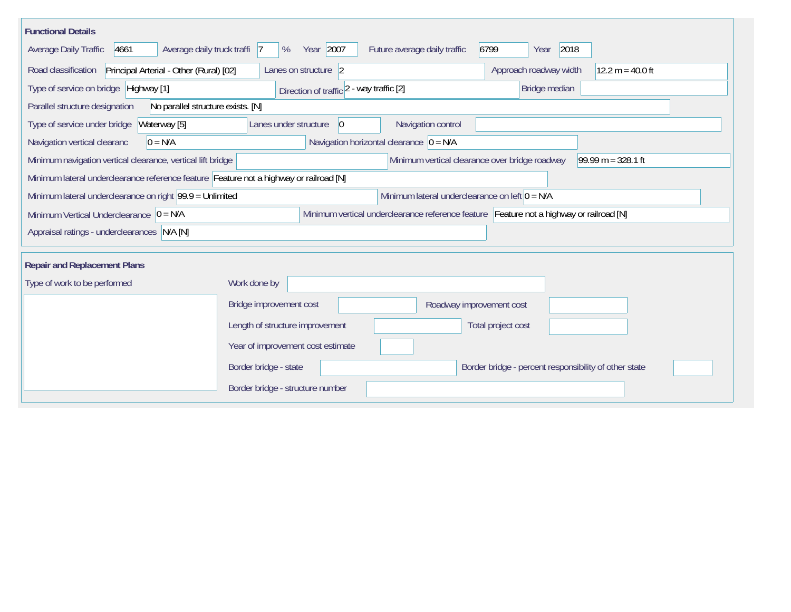| <b>Functional Details</b>                                                              |                                                                                                              |                                                                                         |                                                       |                      |  |  |  |
|----------------------------------------------------------------------------------------|--------------------------------------------------------------------------------------------------------------|-----------------------------------------------------------------------------------------|-------------------------------------------------------|----------------------|--|--|--|
| Average daily truck traffi 7<br>Average Daily Traffic<br>4661                          | Year 2007<br>%                                                                                               | Future average daily traffic                                                            | 2018<br>6799<br>Year                                  |                      |  |  |  |
| Principal Arterial - Other (Rural) [02]<br>Road classification                         | Lanes on structure 2                                                                                         |                                                                                         | Approach roadway width                                | $12.2 m = 40.0 ft$   |  |  |  |
| Type of service on bridge Highway [1]                                                  | Direction of traffic 2 - way traffic [2]                                                                     |                                                                                         | Bridge median                                         |                      |  |  |  |
| No parallel structure exists. [N]<br>Parallel structure designation                    |                                                                                                              |                                                                                         |                                                       |                      |  |  |  |
| Type of service under bridge<br>Waterway [5]                                           | Lanes under structure<br>$ 0\rangle$                                                                         | Navigation control                                                                      |                                                       |                      |  |  |  |
| $0 = N/A$<br>Navigation vertical clearanc                                              |                                                                                                              | Navigation horizontal clearance $ 0 = N/A$                                              |                                                       |                      |  |  |  |
| Minimum navigation vertical clearance, vertical lift bridge                            |                                                                                                              | Minimum vertical clearance over bridge roadway                                          |                                                       | $99.99 m = 328.1 ft$ |  |  |  |
| Minimum lateral underclearance reference feature Feature not a highway or railroad [N] |                                                                                                              |                                                                                         |                                                       |                      |  |  |  |
|                                                                                        | Minimum lateral underclearance on left $0 = N/A$<br>Minimum lateral underclearance on right 99.9 = Unlimited |                                                                                         |                                                       |                      |  |  |  |
| Minimum Vertical Underclearance $ 0 = N/A$                                             |                                                                                                              | Minimum vertical underclearance reference feature Feature not a highway or railroad [N] |                                                       |                      |  |  |  |
| Appraisal ratings - underclearances N/A [N]                                            |                                                                                                              |                                                                                         |                                                       |                      |  |  |  |
| <b>Repair and Replacement Plans</b>                                                    |                                                                                                              |                                                                                         |                                                       |                      |  |  |  |
|                                                                                        |                                                                                                              |                                                                                         |                                                       |                      |  |  |  |
| Type of work to be performed                                                           | Work done by                                                                                                 |                                                                                         |                                                       |                      |  |  |  |
|                                                                                        | Bridge improvement cost                                                                                      | Roadway improvement cost                                                                |                                                       |                      |  |  |  |
|                                                                                        | Length of structure improvement                                                                              |                                                                                         | Total project cost                                    |                      |  |  |  |
|                                                                                        | Year of improvement cost estimate                                                                            |                                                                                         |                                                       |                      |  |  |  |
|                                                                                        | Border bridge - state                                                                                        |                                                                                         | Border bridge - percent responsibility of other state |                      |  |  |  |
|                                                                                        | Border bridge - structure number                                                                             |                                                                                         |                                                       |                      |  |  |  |